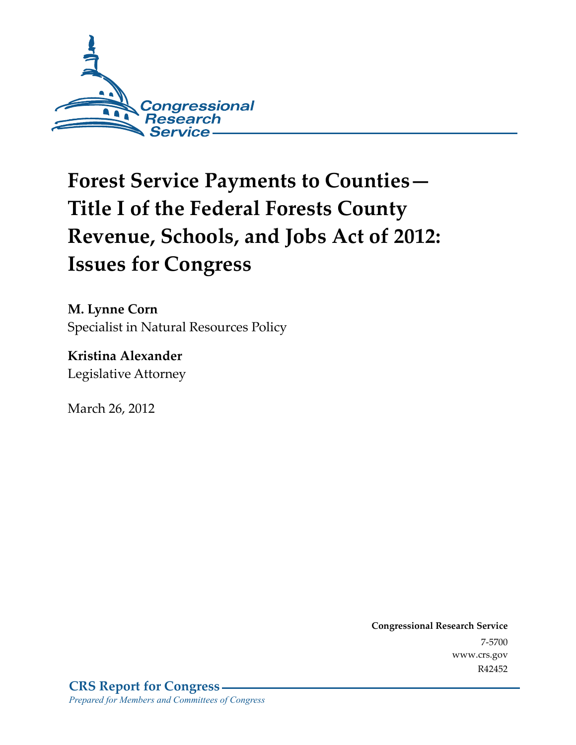

# **Forest Service Payments to Counties— Title I of the Federal Forests County Revenue, Schools, and Jobs Act of 2012: Issues for Congress**

**M. Lynne Corn**  Specialist in Natural Resources Policy

**Kristina Alexander**  Legislative Attorney

March 26, 2012

**Congressional Research Service**  7-5700 www.crs.gov R42452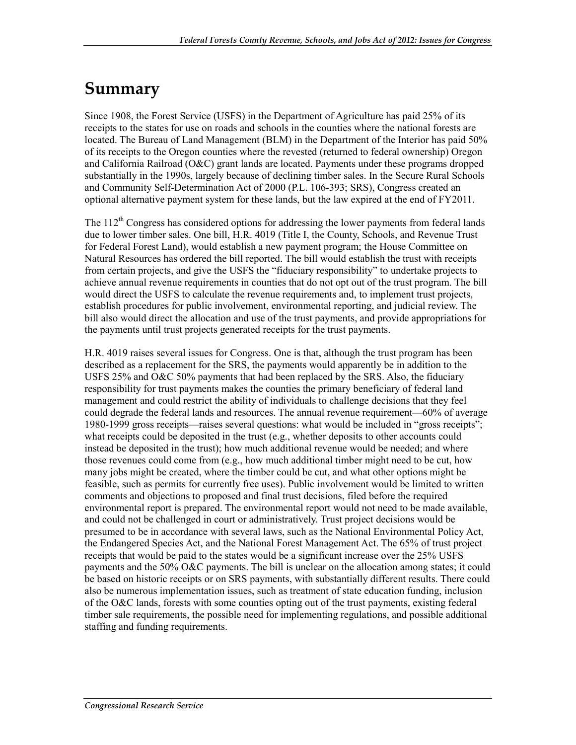## **Summary**

Since 1908, the Forest Service (USFS) in the Department of Agriculture has paid 25% of its receipts to the states for use on roads and schools in the counties where the national forests are located. The Bureau of Land Management (BLM) in the Department of the Interior has paid 50% of its receipts to the Oregon counties where the revested (returned to federal ownership) Oregon and California Railroad (O&C) grant lands are located. Payments under these programs dropped substantially in the 1990s, largely because of declining timber sales. In the Secure Rural Schools and Community Self-Determination Act of 2000 (P.L. 106-393; SRS), Congress created an optional alternative payment system for these lands, but the law expired at the end of FY2011.

The  $112<sup>th</sup>$  Congress has considered options for addressing the lower payments from federal lands due to lower timber sales. One bill, H.R. 4019 (Title I, the County, Schools, and Revenue Trust for Federal Forest Land), would establish a new payment program; the House Committee on Natural Resources has ordered the bill reported. The bill would establish the trust with receipts from certain projects, and give the USFS the "fiduciary responsibility" to undertake projects to achieve annual revenue requirements in counties that do not opt out of the trust program. The bill would direct the USFS to calculate the revenue requirements and, to implement trust projects, establish procedures for public involvement, environmental reporting, and judicial review. The bill also would direct the allocation and use of the trust payments, and provide appropriations for the payments until trust projects generated receipts for the trust payments.

H.R. 4019 raises several issues for Congress. One is that, although the trust program has been described as a replacement for the SRS, the payments would apparently be in addition to the USFS 25% and O&C 50% payments that had been replaced by the SRS. Also, the fiduciary responsibility for trust payments makes the counties the primary beneficiary of federal land management and could restrict the ability of individuals to challenge decisions that they feel could degrade the federal lands and resources. The annual revenue requirement—60% of average 1980-1999 gross receipts—raises several questions: what would be included in "gross receipts"; what receipts could be deposited in the trust (e.g., whether deposits to other accounts could instead be deposited in the trust); how much additional revenue would be needed; and where those revenues could come from (e.g., how much additional timber might need to be cut, how many jobs might be created, where the timber could be cut, and what other options might be feasible, such as permits for currently free uses). Public involvement would be limited to written comments and objections to proposed and final trust decisions, filed before the required environmental report is prepared. The environmental report would not need to be made available, and could not be challenged in court or administratively. Trust project decisions would be presumed to be in accordance with several laws, such as the National Environmental Policy Act, the Endangered Species Act, and the National Forest Management Act. The 65% of trust project receipts that would be paid to the states would be a significant increase over the 25% USFS payments and the 50% O&C payments. The bill is unclear on the allocation among states; it could be based on historic receipts or on SRS payments, with substantially different results. There could also be numerous implementation issues, such as treatment of state education funding, inclusion of the O&C lands, forests with some counties opting out of the trust payments, existing federal timber sale requirements, the possible need for implementing regulations, and possible additional staffing and funding requirements.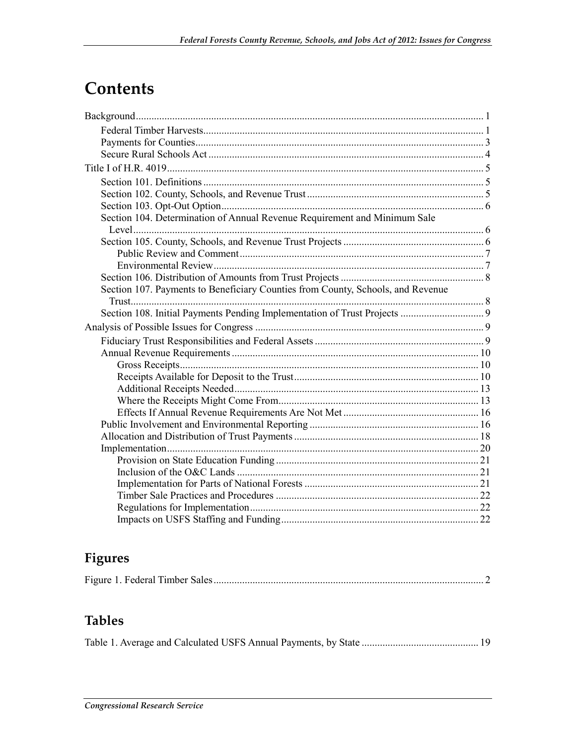## **Contents**

| Section 104. Determination of Annual Revenue Requirement and Minimum Sale       |  |
|---------------------------------------------------------------------------------|--|
|                                                                                 |  |
|                                                                                 |  |
|                                                                                 |  |
|                                                                                 |  |
| Section 107. Payments to Beneficiary Counties from County, Schools, and Revenue |  |
|                                                                                 |  |
|                                                                                 |  |
|                                                                                 |  |
|                                                                                 |  |
|                                                                                 |  |
|                                                                                 |  |
|                                                                                 |  |
|                                                                                 |  |
|                                                                                 |  |
|                                                                                 |  |
|                                                                                 |  |
|                                                                                 |  |
|                                                                                 |  |
|                                                                                 |  |
|                                                                                 |  |
|                                                                                 |  |
|                                                                                 |  |
|                                                                                 |  |
|                                                                                 |  |

## Figures

## **Tables**

|--|--|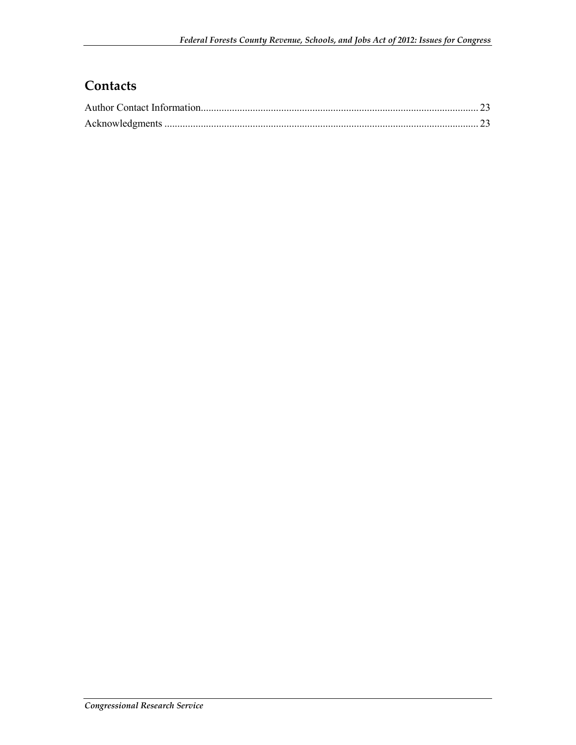## **Contacts**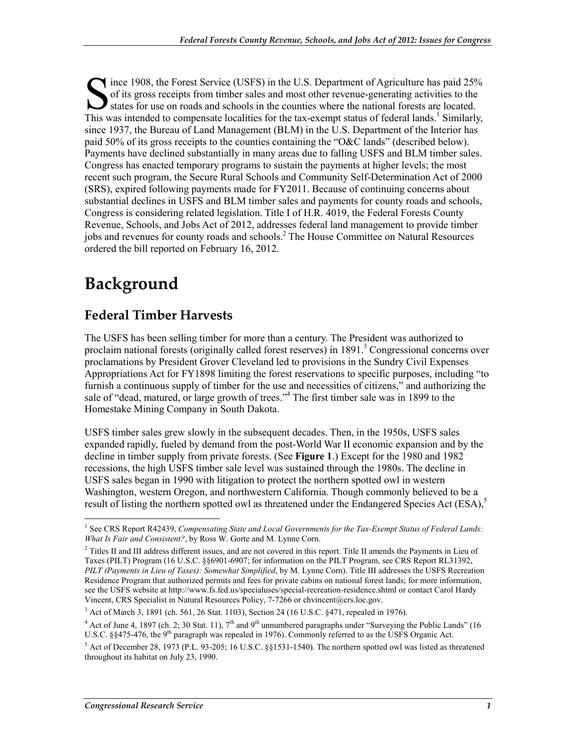Solid is gross receipts from timber sales and most other revenue-generating activities to the states for use on roads and schools in the counties where the national forests are located. of its gross receipts from timber sales and most other revenue-generating activities to the states for use on roads and schools in the counties where the national forests are located. This was intended to compensate localities for the tax-exempt status of federal lands.<sup>1</sup> Similarly, since 1937, the Bureau of Land Management (BLM) in the U.S. Department of the Interior has paid 50% of its gross receipts to the counties containing the "O&C lands" (described below). Payments have declined substantially in many areas due to falling USFS and BLM timber sales. Congress has enacted temporary programs to sustain the payments at higher levels; the most recent such program, the Secure Rural Schools and Community Self-Determination Act of 2000 (SRS), expired following payments made for FY2011. Because of continuing concerns about substantial declines in USFS and BLM timber sales and payments for county roads and schools, Congress is considering related legislation. Title I of H.R. 4019, the Federal Forests County Revenue, Schools, and Jobs Act of 2012, addresses federal land management to provide timber jobs and revenues for county roads and schools.<sup>2</sup> The House Committee on Natural Resources ordered the bill reported on February 16, 2012.

## **Background**

### **Federal Timber Harvests**

The USFS has been selling timber for more than a century. The President was authorized to proclaim national forests (originally called forest reserves) in 1891.<sup>3</sup> Congressional concerns over proclamations by President Grover Cleveland led to provisions in the Sundry Civil Expenses Appropriations Act for FY1898 limiting the forest reservations to specific purposes, including "to furnish a continuous supply of timber for the use and necessities of citizens," and authorizing the sale of "dead, matured, or large growth of trees."<sup>4</sup> The first timber sale was in 1899 to the Homestake Mining Company in South Dakota.

USFS timber sales grew slowly in the subsequent decades. Then, in the 1950s, USFS sales expanded rapidly, fueled by demand from the post-World War II economic expansion and by the decline in timber supply from private forests. (See **Figure 1**.) Except for the 1980 and 1982 recessions, the high USFS timber sale level was sustained through the 1980s. The decline in USFS sales began in 1990 with litigation to protect the northern spotted owl in western Washington, western Oregon, and northwestern California. Though commonly believed to be a result of listing the northern spotted owl as threatened under the Endangered Species Act (ESA),<sup>5</sup>

 1 See CRS Report R42439, *Compensating State and Local Governments for the Tax-Exempt Status of Federal Lands: What Is Fair and Consistent?*, by Ross W. Gorte and M. Lynne Corn.

 $2$  Titles II and III address different issues, and are not covered in this report. Title II amends the Payments in Lieu of Taxes (PILT) Program (16 U.S.C. §§6901-6907; for information on the PILT Program, see CRS Report RL31392, *PILT (Payments in Lieu of Taxes): Somewhat Simplified*, by M. Lynne Corn). Title III addresses the USFS Recreation Residence Program that authorized permits and fees for private cabins on national forest lands; for more information, see the USFS website at http://www.fs.fed.us/specialuses/special-recreation-residence.shtml or contact Carol Hardy Vincent, CRS Specialist in Natural Resources Policy, 7-7266 or chvincent@crs.loc.gov.

<sup>&</sup>lt;sup>3</sup> Act of March 3, 1891 (ch. 561, 26 Stat. 1103), Section 24 (16 U.S.C. §471, repealed in 1976).

<sup>&</sup>lt;sup>4</sup> Act of June 4, 1897 (ch. 2; 30 Stat. 11), 7<sup>th</sup> and 9<sup>th</sup> unnumbered paragraphs under "Surveying the Public Lands" (16 U.S.C. §§475-476, the 9<sup>th</sup> paragraph was repealed in 1976). Commonly referred to as the USFS Organic Act.

 $5$  Act of December 28, 1973 (P.L. 93-205; 16 U.S.C. §§1531-1540). The northern spotted owl was listed as threatened throughout its habitat on July 23, 1990.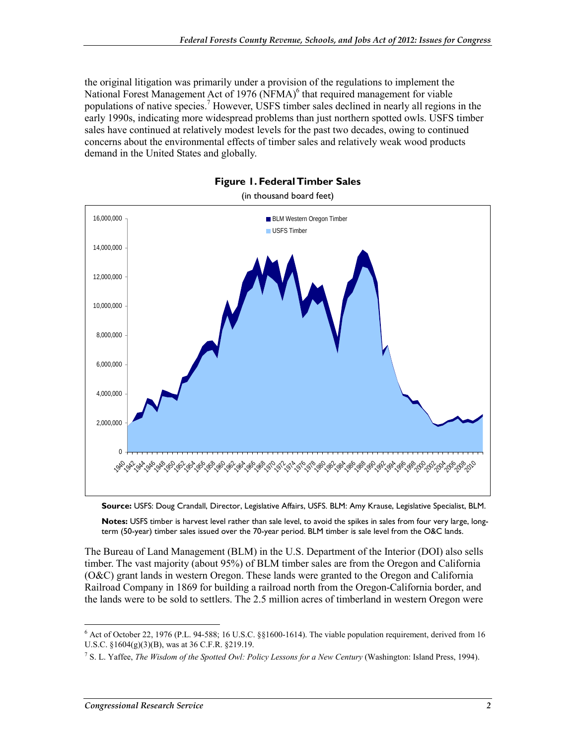the original litigation was primarily under a provision of the regulations to implement the National Forest Management Act of 1976 (NFMA)<sup>6</sup> that required management for viable populations of native species.<sup>7</sup> However, USFS timber sales declined in nearly all regions in the early 1990s, indicating more widespread problems than just northern spotted owls. USFS timber sales have continued at relatively modest levels for the past two decades, owing to continued concerns about the environmental effects of timber sales and relatively weak wood products demand in the United States and globally.





(in thousand board feet)

**Source:** USFS: Doug Crandall, Director, Legislative Affairs, USFS. BLM: Amy Krause, Legislative Specialist, BLM.

**Notes:** USFS timber is harvest level rather than sale level, to avoid the spikes in sales from four very large, longterm (50-year) timber sales issued over the 70-year period. BLM timber is sale level from the O&C lands.

The Bureau of Land Management (BLM) in the U.S. Department of the Interior (DOI) also sells timber. The vast majority (about 95%) of BLM timber sales are from the Oregon and California (O&C) grant lands in western Oregon. These lands were granted to the Oregon and California Railroad Company in 1869 for building a railroad north from the Oregon-California border, and the lands were to be sold to settlers. The 2.5 million acres of timberland in western Oregon were

<sup>&</sup>lt;sup>6</sup> Act of October 22, 1976 (P.L. 94-588; 16 U.S.C. §§1600-1614). The viable population requirement, derived from 16 U.S.C. §1604(g)(3)(B), was at 36 C.F.R. §219.19.

<sup>7</sup> S. L. Yaffee, *The Wisdom of the Spotted Owl: Policy Lessons for a New Century* (Washington: Island Press, 1994).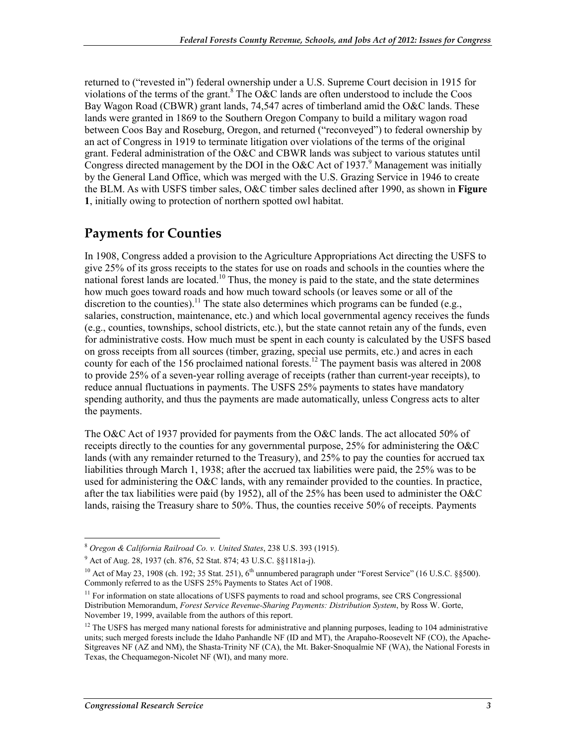returned to ("revested in") federal ownership under a U.S. Supreme Court decision in 1915 for violations of the terms of the grant.<sup>8</sup> The O&C lands are often understood to include the Coos Bay Wagon Road (CBWR) grant lands, 74,547 acres of timberland amid the O&C lands. These lands were granted in 1869 to the Southern Oregon Company to build a military wagon road between Coos Bay and Roseburg, Oregon, and returned ("reconveyed") to federal ownership by an act of Congress in 1919 to terminate litigation over violations of the terms of the original grant. Federal administration of the O&C and CBWR lands was subject to various statutes until Congress directed management by the DOI in the O&C Act of 1937.<sup>9</sup> Management was initially by the General Land Office, which was merged with the U.S. Grazing Service in 1946 to create the BLM. As with USFS timber sales, O&C timber sales declined after 1990, as shown in **Figure 1**, initially owing to protection of northern spotted owl habitat.

### **Payments for Counties**

In 1908, Congress added a provision to the Agriculture Appropriations Act directing the USFS to give 25% of its gross receipts to the states for use on roads and schools in the counties where the national forest lands are located.<sup>10</sup> Thus, the money is paid to the state, and the state determines how much goes toward roads and how much toward schools (or leaves some or all of the discretion to the counties).<sup>11</sup> The state also determines which programs can be funded (e.g., salaries, construction, maintenance, etc.) and which local governmental agency receives the funds (e.g., counties, townships, school districts, etc.), but the state cannot retain any of the funds, even for administrative costs. How much must be spent in each county is calculated by the USFS based on gross receipts from all sources (timber, grazing, special use permits, etc.) and acres in each county for each of the 156 proclaimed national forests.<sup>12</sup> The payment basis was altered in 2008 to provide 25% of a seven-year rolling average of receipts (rather than current-year receipts), to reduce annual fluctuations in payments. The USFS 25% payments to states have mandatory spending authority, and thus the payments are made automatically, unless Congress acts to alter the payments.

The O&C Act of 1937 provided for payments from the O&C lands. The act allocated 50% of receipts directly to the counties for any governmental purpose, 25% for administering the O&C lands (with any remainder returned to the Treasury), and 25% to pay the counties for accrued tax liabilities through March 1, 1938; after the accrued tax liabilities were paid, the 25% was to be used for administering the O&C lands, with any remainder provided to the counties. In practice, after the tax liabilities were paid (by 1952), all of the  $25\%$  has been used to administer the O&C lands, raising the Treasury share to 50%. Thus, the counties receive 50% of receipts. Payments

<sup>&</sup>lt;u>.</u> <sup>8</sup> *Oregon & California Railroad Co. v. United States*, 238 U.S. 393 (1915).

<sup>9</sup> Act of Aug. 28, 1937 (ch. 876, 52 Stat. 874; 43 U.S.C. §§1181a-j).

<sup>&</sup>lt;sup>10</sup> Act of May 23, 1908 (ch. 192; 35 Stat. 251), 6<sup>th</sup> unnumbered paragraph under "Forest Service" (16 U.S.C. §§500). Commonly referred to as the USFS 25% Payments to States Act of 1908.

<sup>&</sup>lt;sup>11</sup> For information on state allocations of USFS payments to road and school programs, see CRS Congressional Distribution Memorandum, *Forest Service Revenue-Sharing Payments: Distribution System*, by Ross W. Gorte, November 19, 1999, available from the authors of this report.

 $12$  The USFS has merged many national forests for administrative and planning purposes, leading to 104 administrative units; such merged forests include the Idaho Panhandle NF (ID and MT), the Arapaho-Roosevelt NF (CO), the Apache-Sitgreaves NF (AZ and NM), the Shasta-Trinity NF (CA), the Mt. Baker-Snoqualmie NF (WA), the National Forests in Texas, the Chequamegon-Nicolet NF (WI), and many more.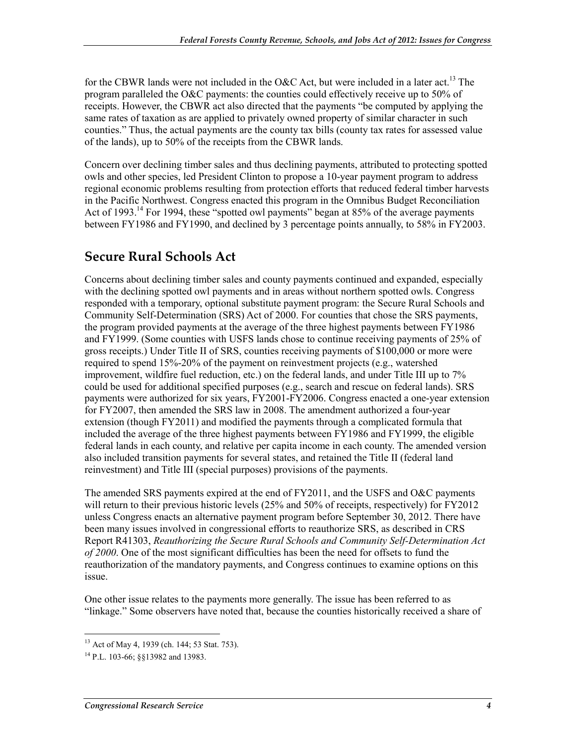for the CBWR lands were not included in the O&C Act, but were included in a later act.<sup>13</sup> The program paralleled the O&C payments: the counties could effectively receive up to 50% of receipts. However, the CBWR act also directed that the payments "be computed by applying the same rates of taxation as are applied to privately owned property of similar character in such counties." Thus, the actual payments are the county tax bills (county tax rates for assessed value of the lands), up to 50% of the receipts from the CBWR lands.

Concern over declining timber sales and thus declining payments, attributed to protecting spotted owls and other species, led President Clinton to propose a 10-year payment program to address regional economic problems resulting from protection efforts that reduced federal timber harvests in the Pacific Northwest. Congress enacted this program in the Omnibus Budget Reconciliation Act of 1993.<sup>14</sup> For 1994, these "spotted owl payments" began at 85% of the average payments between FY1986 and FY1990, and declined by 3 percentage points annually, to 58% in FY2003.

### **Secure Rural Schools Act**

Concerns about declining timber sales and county payments continued and expanded, especially with the declining spotted owl payments and in areas without northern spotted owls. Congress responded with a temporary, optional substitute payment program: the Secure Rural Schools and Community Self-Determination (SRS) Act of 2000. For counties that chose the SRS payments, the program provided payments at the average of the three highest payments between FY1986 and FY1999. (Some counties with USFS lands chose to continue receiving payments of 25% of gross receipts.) Under Title II of SRS, counties receiving payments of \$100,000 or more were required to spend 15%-20% of the payment on reinvestment projects (e.g., watershed improvement, wildfire fuel reduction, etc.) on the federal lands, and under Title III up to 7% could be used for additional specified purposes (e.g., search and rescue on federal lands). SRS payments were authorized for six years, FY2001-FY2006. Congress enacted a one-year extension for FY2007, then amended the SRS law in 2008. The amendment authorized a four-year extension (though FY2011) and modified the payments through a complicated formula that included the average of the three highest payments between FY1986 and FY1999, the eligible federal lands in each county, and relative per capita income in each county. The amended version also included transition payments for several states, and retained the Title II (federal land reinvestment) and Title III (special purposes) provisions of the payments.

The amended SRS payments expired at the end of FY2011, and the USFS and O&C payments will return to their previous historic levels (25% and 50% of receipts, respectively) for FY2012 unless Congress enacts an alternative payment program before September 30, 2012. There have been many issues involved in congressional efforts to reauthorize SRS, as described in CRS Report R41303, *Reauthorizing the Secure Rural Schools and Community Self-Determination Act of 2000*. One of the most significant difficulties has been the need for offsets to fund the reauthorization of the mandatory payments, and Congress continues to examine options on this issue.

One other issue relates to the payments more generally. The issue has been referred to as "linkage." Some observers have noted that, because the counties historically received a share of

<sup>&</sup>lt;sup>13</sup> Act of May 4, 1939 (ch. 144; 53 Stat. 753).

<sup>14</sup> P.L. 103-66; §§13982 and 13983.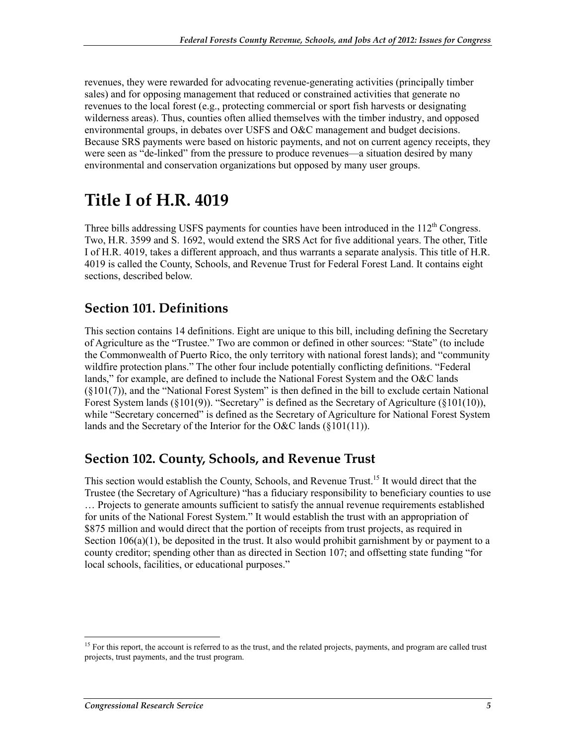revenues, they were rewarded for advocating revenue-generating activities (principally timber sales) and for opposing management that reduced or constrained activities that generate no revenues to the local forest (e.g., protecting commercial or sport fish harvests or designating wilderness areas). Thus, counties often allied themselves with the timber industry, and opposed environmental groups, in debates over USFS and O&C management and budget decisions. Because SRS payments were based on historic payments, and not on current agency receipts, they were seen as "de-linked" from the pressure to produce revenues—a situation desired by many environmental and conservation organizations but opposed by many user groups.

## **Title I of H.R. 4019**

Three bills addressing USFS payments for counties have been introduced in the  $112<sup>th</sup>$  Congress. Two, H.R. 3599 and S. 1692, would extend the SRS Act for five additional years. The other, Title I of H.R. 4019, takes a different approach, and thus warrants a separate analysis. This title of H.R. 4019 is called the County, Schools, and Revenue Trust for Federal Forest Land. It contains eight sections, described below.

### **Section 101. Definitions**

This section contains 14 definitions. Eight are unique to this bill, including defining the Secretary of Agriculture as the "Trustee." Two are common or defined in other sources: "State" (to include the Commonwealth of Puerto Rico, the only territory with national forest lands); and "community wildfire protection plans." The other four include potentially conflicting definitions. "Federal lands," for example, are defined to include the National Forest System and the O&C lands (§101(7)), and the "National Forest System" is then defined in the bill to exclude certain National Forest System lands (§101(9)). "Secretary" is defined as the Secretary of Agriculture (§101(10)), while "Secretary concerned" is defined as the Secretary of Agriculture for National Forest System lands and the Secretary of the Interior for the O&C lands (§101(11)).

#### **Section 102. County, Schools, and Revenue Trust**

This section would establish the County, Schools, and Revenue Trust.<sup>15</sup> It would direct that the Trustee (the Secretary of Agriculture) "has a fiduciary responsibility to beneficiary counties to use … Projects to generate amounts sufficient to satisfy the annual revenue requirements established for units of the National Forest System." It would establish the trust with an appropriation of \$875 million and would direct that the portion of receipts from trust projects, as required in Section  $106(a)(1)$ , be deposited in the trust. It also would prohibit garnishment by or payment to a county creditor; spending other than as directed in Section 107; and offsetting state funding "for local schools, facilities, or educational purposes."

<sup>&</sup>lt;sup>15</sup> For this report, the account is referred to as the trust, and the related projects, payments, and program are called trust projects, trust payments, and the trust program.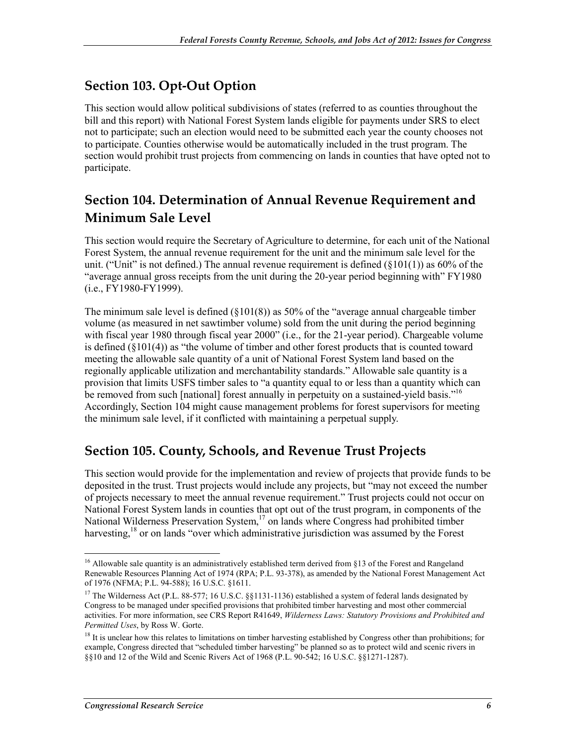## **Section 103. Opt-Out Option**

This section would allow political subdivisions of states (referred to as counties throughout the bill and this report) with National Forest System lands eligible for payments under SRS to elect not to participate; such an election would need to be submitted each year the county chooses not to participate. Counties otherwise would be automatically included in the trust program. The section would prohibit trust projects from commencing on lands in counties that have opted not to participate.

## **Section 104. Determination of Annual Revenue Requirement and Minimum Sale Level**

This section would require the Secretary of Agriculture to determine, for each unit of the National Forest System, the annual revenue requirement for the unit and the minimum sale level for the unit. ("Unit" is not defined.) The annual revenue requirement is defined  $(\S 101(1))$  as 60% of the "average annual gross receipts from the unit during the 20-year period beginning with" FY1980 (i.e., FY1980-FY1999).

The minimum sale level is defined (§101(8)) as 50% of the "average annual chargeable timber volume (as measured in net sawtimber volume) sold from the unit during the period beginning with fiscal year 1980 through fiscal year 2000" (i.e., for the 21-year period). Chargeable volume is defined  $(\xi 101(4))$  as "the volume of timber and other forest products that is counted toward meeting the allowable sale quantity of a unit of National Forest System land based on the regionally applicable utilization and merchantability standards." Allowable sale quantity is a provision that limits USFS timber sales to "a quantity equal to or less than a quantity which can be removed from such [national] forest annually in perpetuity on a sustained-yield basis."<sup>16</sup> Accordingly, Section 104 might cause management problems for forest supervisors for meeting the minimum sale level, if it conflicted with maintaining a perpetual supply.

## **Section 105. County, Schools, and Revenue Trust Projects**

This section would provide for the implementation and review of projects that provide funds to be deposited in the trust. Trust projects would include any projects, but "may not exceed the number of projects necessary to meet the annual revenue requirement." Trust projects could not occur on National Forest System lands in counties that opt out of the trust program, in components of the National Wilderness Preservation System,<sup>17</sup> on lands where Congress had prohibited timber harvesting,<sup>18</sup> or on lands "over which administrative jurisdiction was assumed by the Forest

<sup>&</sup>lt;sup>16</sup> Allowable sale quantity is an administratively established term derived from §13 of the Forest and Rangeland Renewable Resources Planning Act of 1974 (RPA; P.L. 93-378), as amended by the National Forest Management Act of 1976 (NFMA; P.L. 94-588); 16 U.S.C. §1611.

<sup>&</sup>lt;sup>17</sup> The Wilderness Act (P.L. 88-577; 16 U.S.C. §§1131-1136) established a system of federal lands designated by Congress to be managed under specified provisions that prohibited timber harvesting and most other commercial activities. For more information, see CRS Report R41649, *Wilderness Laws: Statutory Provisions and Prohibited and Permitted Uses*, by Ross W. Gorte.

<sup>&</sup>lt;sup>18</sup> It is unclear how this relates to limitations on timber harvesting established by Congress other than prohibitions; for example, Congress directed that "scheduled timber harvesting" be planned so as to protect wild and scenic rivers in §§10 and 12 of the Wild and Scenic Rivers Act of 1968 (P.L. 90-542; 16 U.S.C. §§1271-1287).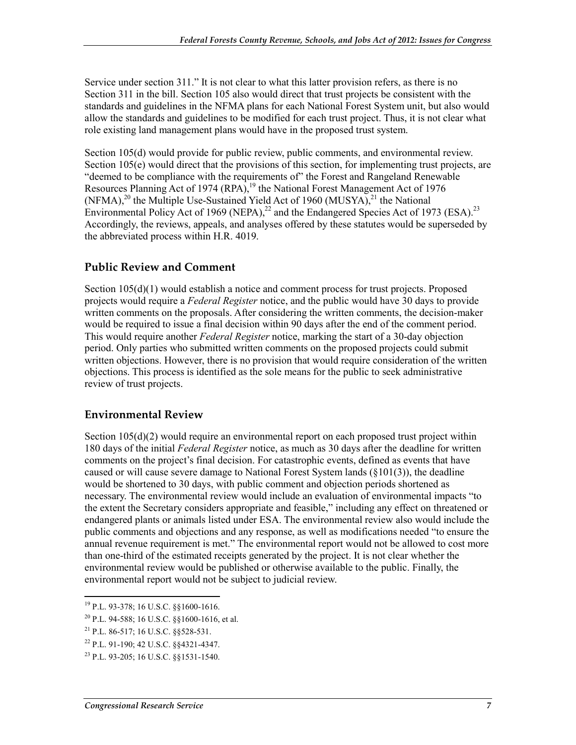Service under section 311." It is not clear to what this latter provision refers, as there is no Section 311 in the bill. Section 105 also would direct that trust projects be consistent with the standards and guidelines in the NFMA plans for each National Forest System unit, but also would allow the standards and guidelines to be modified for each trust project. Thus, it is not clear what role existing land management plans would have in the proposed trust system.

Section 105(d) would provide for public review, public comments, and environmental review. Section 105(e) would direct that the provisions of this section, for implementing trust projects, are "deemed to be compliance with the requirements of" the Forest and Rangeland Renewable Resources Planning Act of 1974 (RPA),<sup>19</sup> the National Forest Management Act of 1976 (NFMA),<sup>20</sup> the Multiple Use-Sustained Yield Act of 1960 (MUSYA),<sup>21</sup> the National Environmental Policy Act of 1969 (NEPA),<sup>22</sup> and the Endangered Species Act of 1973 (ESA).<sup>23</sup> Accordingly, the reviews, appeals, and analyses offered by these statutes would be superseded by the abbreviated process within H.R. 4019.

#### **Public Review and Comment**

Section 105(d)(1) would establish a notice and comment process for trust projects. Proposed projects would require a *Federal Register* notice, and the public would have 30 days to provide written comments on the proposals. After considering the written comments, the decision-maker would be required to issue a final decision within 90 days after the end of the comment period. This would require another *Federal Register* notice, marking the start of a 30-day objection period. Only parties who submitted written comments on the proposed projects could submit written objections. However, there is no provision that would require consideration of the written objections. This process is identified as the sole means for the public to seek administrative review of trust projects.

#### **Environmental Review**

Section 105(d)(2) would require an environmental report on each proposed trust project within 180 days of the initial *Federal Register* notice, as much as 30 days after the deadline for written comments on the project's final decision. For catastrophic events, defined as events that have caused or will cause severe damage to National Forest System lands  $(\S101(3))$ , the deadline would be shortened to 30 days, with public comment and objection periods shortened as necessary. The environmental review would include an evaluation of environmental impacts "to the extent the Secretary considers appropriate and feasible," including any effect on threatened or endangered plants or animals listed under ESA. The environmental review also would include the public comments and objections and any response, as well as modifications needed "to ensure the annual revenue requirement is met." The environmental report would not be allowed to cost more than one-third of the estimated receipts generated by the project. It is not clear whether the environmental review would be published or otherwise available to the public. Finally, the environmental report would not be subject to judicial review.

<sup>1</sup> 19 P.L. 93-378; 16 U.S.C. §§1600-1616.

<sup>20</sup> P.L. 94-588; 16 U.S.C. §§1600-1616, et al.

<sup>21</sup> P.L. 86-517; 16 U.S.C. §§528-531.

<sup>22</sup> P.L. 91-190; 42 U.S.C. §§4321-4347.

<sup>23</sup> P.L. 93-205; 16 U.S.C. §§1531-1540.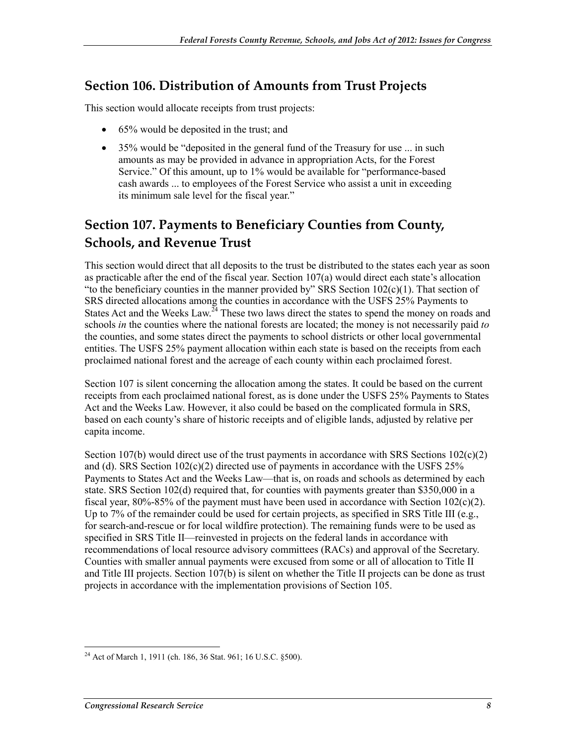#### **Section 106. Distribution of Amounts from Trust Projects**

This section would allocate receipts from trust projects:

- 65% would be deposited in the trust; and
- 35% would be "deposited in the general fund of the Treasury for use ... in such amounts as may be provided in advance in appropriation Acts, for the Forest Service." Of this amount, up to 1% would be available for "performance-based" cash awards ... to employees of the Forest Service who assist a unit in exceeding its minimum sale level for the fiscal year."

## **Section 107. Payments to Beneficiary Counties from County, Schools, and Revenue Trust**

This section would direct that all deposits to the trust be distributed to the states each year as soon as practicable after the end of the fiscal year. Section 107(a) would direct each state's allocation "to the beneficiary counties in the manner provided by" SRS Section  $102(c)(1)$ . That section of SRS directed allocations among the counties in accordance with the USFS 25% Payments to States Act and the Weeks Law.<sup> $24$ </sup> These two laws direct the states to spend the money on roads and schools *in* the counties where the national forests are located; the money is not necessarily paid *to* the counties, and some states direct the payments to school districts or other local governmental entities. The USFS 25% payment allocation within each state is based on the receipts from each proclaimed national forest and the acreage of each county within each proclaimed forest.

Section 107 is silent concerning the allocation among the states. It could be based on the current receipts from each proclaimed national forest, as is done under the USFS 25% Payments to States Act and the Weeks Law. However, it also could be based on the complicated formula in SRS, based on each county's share of historic receipts and of eligible lands, adjusted by relative per capita income.

Section 107(b) would direct use of the trust payments in accordance with SRS Sections  $102(c)(2)$ and (d). SRS Section  $102(c)(2)$  directed use of payments in accordance with the USFS 25% Payments to States Act and the Weeks Law—that is, on roads and schools as determined by each state. SRS Section 102(d) required that, for counties with payments greater than \$350,000 in a fiscal year, 80%-85% of the payment must have been used in accordance with Section 102(c)(2). Up to 7% of the remainder could be used for certain projects, as specified in SRS Title III (e.g., for search-and-rescue or for local wildfire protection). The remaining funds were to be used as specified in SRS Title II—reinvested in projects on the federal lands in accordance with recommendations of local resource advisory committees (RACs) and approval of the Secretary. Counties with smaller annual payments were excused from some or all of allocation to Title II and Title III projects. Section 107(b) is silent on whether the Title II projects can be done as trust projects in accordance with the implementation provisions of Section 105.

<sup>&</sup>lt;u>.</u> <sup>24</sup> Act of March 1, 1911 (ch. 186, 36 Stat. 961; 16 U.S.C. §500).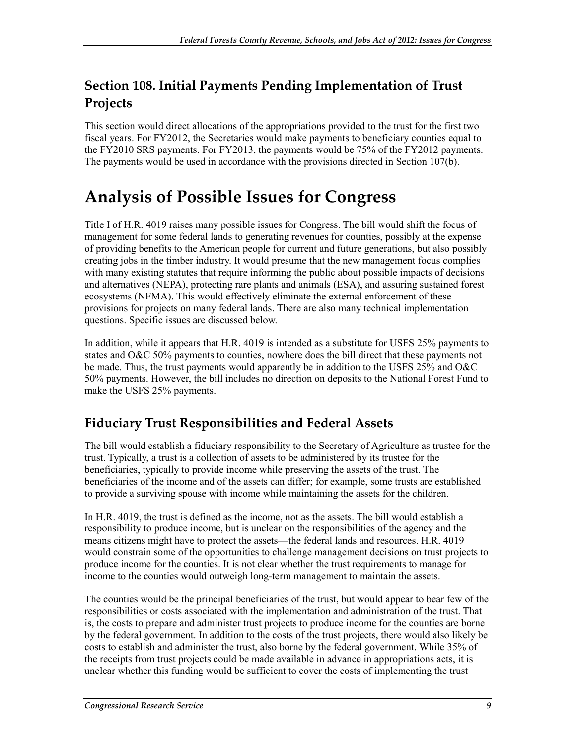## **Section 108. Initial Payments Pending Implementation of Trust Projects**

This section would direct allocations of the appropriations provided to the trust for the first two fiscal years. For FY2012, the Secretaries would make payments to beneficiary counties equal to the FY2010 SRS payments. For FY2013, the payments would be 75% of the FY2012 payments. The payments would be used in accordance with the provisions directed in Section 107(b).

## **Analysis of Possible Issues for Congress**

Title I of H.R. 4019 raises many possible issues for Congress. The bill would shift the focus of management for some federal lands to generating revenues for counties, possibly at the expense of providing benefits to the American people for current and future generations, but also possibly creating jobs in the timber industry. It would presume that the new management focus complies with many existing statutes that require informing the public about possible impacts of decisions and alternatives (NEPA), protecting rare plants and animals (ESA), and assuring sustained forest ecosystems (NFMA). This would effectively eliminate the external enforcement of these provisions for projects on many federal lands. There are also many technical implementation questions. Specific issues are discussed below.

In addition, while it appears that H.R. 4019 is intended as a substitute for USFS 25% payments to states and O&C 50% payments to counties, nowhere does the bill direct that these payments not be made. Thus, the trust payments would apparently be in addition to the USFS 25% and O&C 50% payments. However, the bill includes no direction on deposits to the National Forest Fund to make the USFS 25% payments.

## **Fiduciary Trust Responsibilities and Federal Assets**

The bill would establish a fiduciary responsibility to the Secretary of Agriculture as trustee for the trust. Typically, a trust is a collection of assets to be administered by its trustee for the beneficiaries, typically to provide income while preserving the assets of the trust. The beneficiaries of the income and of the assets can differ; for example, some trusts are established to provide a surviving spouse with income while maintaining the assets for the children.

In H.R. 4019, the trust is defined as the income, not as the assets. The bill would establish a responsibility to produce income, but is unclear on the responsibilities of the agency and the means citizens might have to protect the assets—the federal lands and resources. H.R. 4019 would constrain some of the opportunities to challenge management decisions on trust projects to produce income for the counties. It is not clear whether the trust requirements to manage for income to the counties would outweigh long-term management to maintain the assets.

The counties would be the principal beneficiaries of the trust, but would appear to bear few of the responsibilities or costs associated with the implementation and administration of the trust. That is, the costs to prepare and administer trust projects to produce income for the counties are borne by the federal government. In addition to the costs of the trust projects, there would also likely be costs to establish and administer the trust, also borne by the federal government. While 35% of the receipts from trust projects could be made available in advance in appropriations acts, it is unclear whether this funding would be sufficient to cover the costs of implementing the trust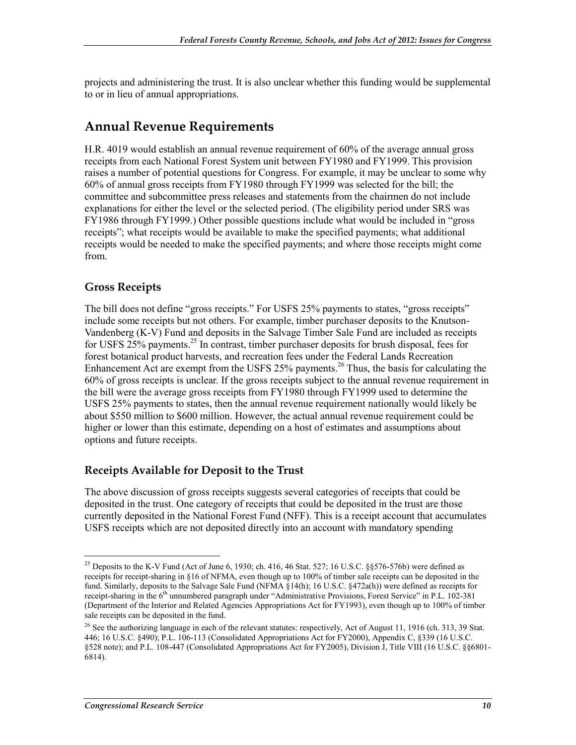projects and administering the trust. It is also unclear whether this funding would be supplemental to or in lieu of annual appropriations.

#### **Annual Revenue Requirements**

H.R. 4019 would establish an annual revenue requirement of 60% of the average annual gross receipts from each National Forest System unit between FY1980 and FY1999. This provision raises a number of potential questions for Congress. For example, it may be unclear to some why 60% of annual gross receipts from FY1980 through FY1999 was selected for the bill; the committee and subcommittee press releases and statements from the chairmen do not include explanations for either the level or the selected period. (The eligibility period under SRS was FY1986 through FY1999.) Other possible questions include what would be included in "gross receipts"; what receipts would be available to make the specified payments; what additional receipts would be needed to make the specified payments; and where those receipts might come from.

#### **Gross Receipts**

The bill does not define "gross receipts." For USFS 25% payments to states, "gross receipts" include some receipts but not others. For example, timber purchaser deposits to the Knutson-Vandenberg (K-V) Fund and deposits in the Salvage Timber Sale Fund are included as receipts for USFS 25% payments.<sup>25</sup> In contrast, timber purchaser deposits for brush disposal, fees for forest botanical product harvests, and recreation fees under the Federal Lands Recreation Enhancement Act are exempt from the USFS  $25\%$  payments.<sup>26</sup> Thus, the basis for calculating the 60% of gross receipts is unclear. If the gross receipts subject to the annual revenue requirement in the bill were the average gross receipts from FY1980 through FY1999 used to determine the USFS 25% payments to states, then the annual revenue requirement nationally would likely be about \$550 million to \$600 million. However, the actual annual revenue requirement could be higher or lower than this estimate, depending on a host of estimates and assumptions about options and future receipts.

#### **Receipts Available for Deposit to the Trust**

The above discussion of gross receipts suggests several categories of receipts that could be deposited in the trust. One category of receipts that could be deposited in the trust are those currently deposited in the National Forest Fund (NFF). This is a receipt account that accumulates USFS receipts which are not deposited directly into an account with mandatory spending

<sup>&</sup>lt;sup>25</sup> Deposits to the K-V Fund (Act of June 6, 1930; ch. 416, 46 Stat. 527; 16 U.S.C. §§576-576b) were defined as receipts for receipt-sharing in §16 of NFMA, even though up to 100% of timber sale receipts can be deposited in the fund. Similarly, deposits to the Salvage Sale Fund (NFMA §14(h); 16 U.S.C. §472a(h)) were defined as receipts for receipt-sharing in the 6<sup>th</sup> unnumbered paragraph under "Administrative Provisions, Forest Service" in P.L. 102-381 (Department of the Interior and Related Agencies Appropriations Act for FY1993), even though up to 100% of timber sale receipts can be deposited in the fund.

<sup>&</sup>lt;sup>26</sup> See the authorizing language in each of the relevant statutes: respectively, Act of August 11, 1916 (ch. 313, 39 Stat. 446; 16 U.S.C. §490); P.L. 106-113 (Consolidated Appropriations Act for FY2000), Appendix C, §339 (16 U.S.C. §528 note); and P.L. 108-447 (Consolidated Appropriations Act for FY2005), Division J, Title VIII (16 U.S.C. §§6801-6814).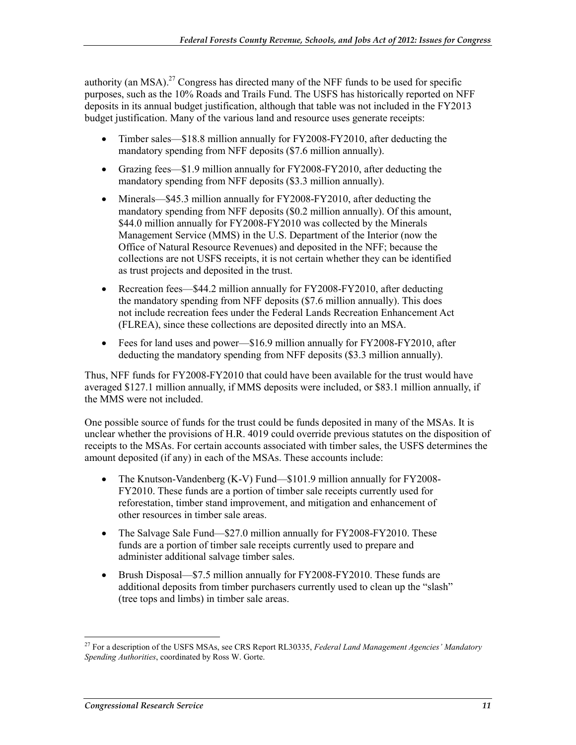authority (an MSA).<sup>27</sup> Congress has directed many of the NFF funds to be used for specific purposes, such as the 10% Roads and Trails Fund. The USFS has historically reported on NFF deposits in its annual budget justification, although that table was not included in the FY2013 budget justification. Many of the various land and resource uses generate receipts:

- Timber sales—\$18.8 million annually for FY2008-FY2010, after deducting the mandatory spending from NFF deposits (\$7.6 million annually).
- Grazing fees—\$1.9 million annually for FY2008-FY2010, after deducting the mandatory spending from NFF deposits (\$3.3 million annually).
- Minerals—\$45.3 million annually for FY2008-FY2010, after deducting the mandatory spending from NFF deposits (\$0.2 million annually). Of this amount, \$44.0 million annually for FY2008-FY2010 was collected by the Minerals Management Service (MMS) in the U.S. Department of the Interior (now the Office of Natural Resource Revenues) and deposited in the NFF; because the collections are not USFS receipts, it is not certain whether they can be identified as trust projects and deposited in the trust.
- Recreation fees—\$44.2 million annually for FY2008-FY2010, after deducting the mandatory spending from NFF deposits (\$7.6 million annually). This does not include recreation fees under the Federal Lands Recreation Enhancement Act (FLREA), since these collections are deposited directly into an MSA.
- Fees for land uses and power—\$16.9 million annually for FY2008-FY2010, after deducting the mandatory spending from NFF deposits (\$3.3 million annually).

Thus, NFF funds for FY2008-FY2010 that could have been available for the trust would have averaged \$127.1 million annually, if MMS deposits were included, or \$83.1 million annually, if the MMS were not included.

One possible source of funds for the trust could be funds deposited in many of the MSAs. It is unclear whether the provisions of H.R. 4019 could override previous statutes on the disposition of receipts to the MSAs. For certain accounts associated with timber sales, the USFS determines the amount deposited (if any) in each of the MSAs. These accounts include:

- The Knutson-Vandenberg (K-V) Fund—\$101.9 million annually for FY2008-FY2010. These funds are a portion of timber sale receipts currently used for reforestation, timber stand improvement, and mitigation and enhancement of other resources in timber sale areas.
- The Salvage Sale Fund—\$27.0 million annually for FY2008-FY2010. These funds are a portion of timber sale receipts currently used to prepare and administer additional salvage timber sales.
- Brush Disposal—\$7.5 million annually for FY2008-FY2010. These funds are additional deposits from timber purchasers currently used to clean up the "slash" (tree tops and limbs) in timber sale areas.

<sup>27</sup> For a description of the USFS MSAs, see CRS Report RL30335, *Federal Land Management Agencies' Mandatory Spending Authorities*, coordinated by Ross W. Gorte.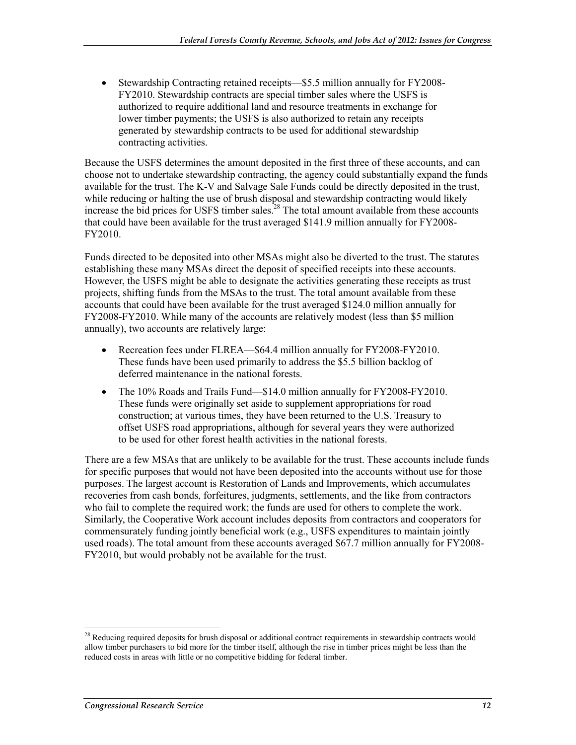• Stewardship Contracting retained receipts—\$5.5 million annually for FY2008- FY2010. Stewardship contracts are special timber sales where the USFS is authorized to require additional land and resource treatments in exchange for lower timber payments; the USFS is also authorized to retain any receipts generated by stewardship contracts to be used for additional stewardship contracting activities.

Because the USFS determines the amount deposited in the first three of these accounts, and can choose not to undertake stewardship contracting, the agency could substantially expand the funds available for the trust. The K-V and Salvage Sale Funds could be directly deposited in the trust, while reducing or halting the use of brush disposal and stewardship contracting would likely increase the bid prices for USFS timber sales.<sup>28</sup> The total amount available from these accounts that could have been available for the trust averaged \$141.9 million annually for FY2008- FY2010.

Funds directed to be deposited into other MSAs might also be diverted to the trust. The statutes establishing these many MSAs direct the deposit of specified receipts into these accounts. However, the USFS might be able to designate the activities generating these receipts as trust projects, shifting funds from the MSAs to the trust. The total amount available from these accounts that could have been available for the trust averaged \$124.0 million annually for FY2008-FY2010. While many of the accounts are relatively modest (less than \$5 million annually), two accounts are relatively large:

- Recreation fees under FLREA—\$64.4 million annually for FY2008-FY2010. These funds have been used primarily to address the \$5.5 billion backlog of deferred maintenance in the national forests.
- The 10% Roads and Trails Fund—\$14.0 million annually for FY2008-FY2010. These funds were originally set aside to supplement appropriations for road construction; at various times, they have been returned to the U.S. Treasury to offset USFS road appropriations, although for several years they were authorized to be used for other forest health activities in the national forests.

There are a few MSAs that are unlikely to be available for the trust. These accounts include funds for specific purposes that would not have been deposited into the accounts without use for those purposes. The largest account is Restoration of Lands and Improvements, which accumulates recoveries from cash bonds, forfeitures, judgments, settlements, and the like from contractors who fail to complete the required work; the funds are used for others to complete the work. Similarly, the Cooperative Work account includes deposits from contractors and cooperators for commensurately funding jointly beneficial work (e.g., USFS expenditures to maintain jointly used roads). The total amount from these accounts averaged \$67.7 million annually for FY2008- FY2010, but would probably not be available for the trust.

<sup>&</sup>lt;sup>28</sup> Reducing required deposits for brush disposal or additional contract requirements in stewardship contracts would allow timber purchasers to bid more for the timber itself, although the rise in timber prices might be less than the reduced costs in areas with little or no competitive bidding for federal timber.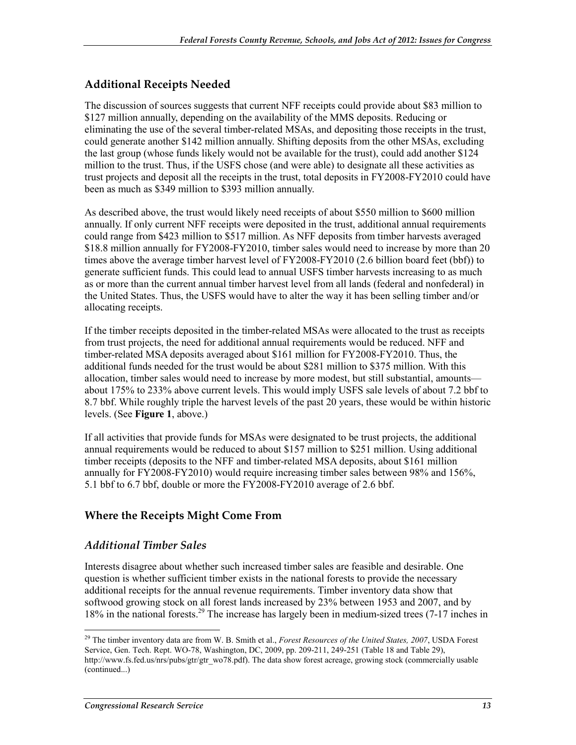#### **Additional Receipts Needed**

The discussion of sources suggests that current NFF receipts could provide about \$83 million to \$127 million annually, depending on the availability of the MMS deposits. Reducing or eliminating the use of the several timber-related MSAs, and depositing those receipts in the trust, could generate another \$142 million annually. Shifting deposits from the other MSAs, excluding the last group (whose funds likely would not be available for the trust), could add another \$124 million to the trust. Thus, if the USFS chose (and were able) to designate all these activities as trust projects and deposit all the receipts in the trust, total deposits in FY2008-FY2010 could have been as much as \$349 million to \$393 million annually.

As described above, the trust would likely need receipts of about \$550 million to \$600 million annually. If only current NFF receipts were deposited in the trust, additional annual requirements could range from \$423 million to \$517 million. As NFF deposits from timber harvests averaged \$18.8 million annually for FY2008-FY2010, timber sales would need to increase by more than 20 times above the average timber harvest level of FY2008-FY2010 (2.6 billion board feet (bbf)) to generate sufficient funds. This could lead to annual USFS timber harvests increasing to as much as or more than the current annual timber harvest level from all lands (federal and nonfederal) in the United States. Thus, the USFS would have to alter the way it has been selling timber and/or allocating receipts.

If the timber receipts deposited in the timber-related MSAs were allocated to the trust as receipts from trust projects, the need for additional annual requirements would be reduced. NFF and timber-related MSA deposits averaged about \$161 million for FY2008-FY2010. Thus, the additional funds needed for the trust would be about \$281 million to \$375 million. With this allocation, timber sales would need to increase by more modest, but still substantial, amounts about 175% to 233% above current levels. This would imply USFS sale levels of about 7.2 bbf to 8.7 bbf. While roughly triple the harvest levels of the past 20 years, these would be within historic levels. (See **Figure 1**, above.)

If all activities that provide funds for MSAs were designated to be trust projects, the additional annual requirements would be reduced to about \$157 million to \$251 million. Using additional timber receipts (deposits to the NFF and timber-related MSA deposits, about \$161 million annually for FY2008-FY2010) would require increasing timber sales between 98% and 156%, 5.1 bbf to 6.7 bbf, double or more the FY2008-FY2010 average of 2.6 bbf.

#### **Where the Receipts Might Come From**

#### *Additional Timber Sales*

Interests disagree about whether such increased timber sales are feasible and desirable. One question is whether sufficient timber exists in the national forests to provide the necessary additional receipts for the annual revenue requirements. Timber inventory data show that softwood growing stock on all forest lands increased by 23% between 1953 and 2007, and by 18% in the national forests.29 The increase has largely been in medium-sized trees (7-17 inches in

<sup>1</sup> 29 The timber inventory data are from W. B. Smith et al., *Forest Resources of the United States, 2007*, USDA Forest Service, Gen. Tech. Rept. WO-78, Washington, DC, 2009, pp. 209-211, 249-251 (Table 18 and Table 29), http://www.fs.fed.us/nrs/pubs/gtr/gtr\_wo78.pdf). The data show forest acreage, growing stock (commercially usable (continued...)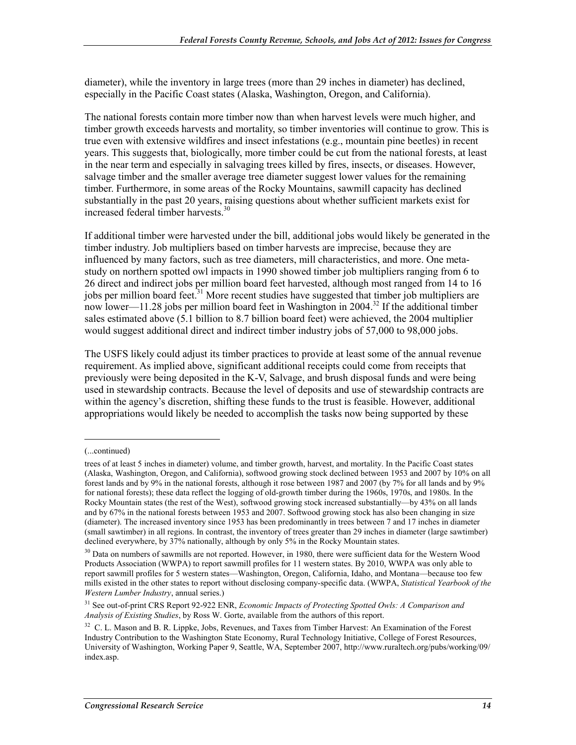diameter), while the inventory in large trees (more than 29 inches in diameter) has declined, especially in the Pacific Coast states (Alaska, Washington, Oregon, and California).

The national forests contain more timber now than when harvest levels were much higher, and timber growth exceeds harvests and mortality, so timber inventories will continue to grow. This is true even with extensive wildfires and insect infestations (e.g., mountain pine beetles) in recent years. This suggests that, biologically, more timber could be cut from the national forests, at least in the near term and especially in salvaging trees killed by fires, insects, or diseases. However, salvage timber and the smaller average tree diameter suggest lower values for the remaining timber. Furthermore, in some areas of the Rocky Mountains, sawmill capacity has declined substantially in the past 20 years, raising questions about whether sufficient markets exist for increased federal timber harvests.<sup>30</sup>

If additional timber were harvested under the bill, additional jobs would likely be generated in the timber industry. Job multipliers based on timber harvests are imprecise, because they are influenced by many factors, such as tree diameters, mill characteristics, and more. One metastudy on northern spotted owl impacts in 1990 showed timber job multipliers ranging from 6 to 26 direct and indirect jobs per million board feet harvested, although most ranged from 14 to 16 jobs per million board feet.<sup>31</sup> More recent studies have suggested that timber job multipliers are now lower—11.28 jobs per million board feet in Washington in 2004.<sup>32</sup> If the additional timber sales estimated above (5.1 billion to 8.7 billion board feet) were achieved, the 2004 multiplier would suggest additional direct and indirect timber industry jobs of 57,000 to 98,000 jobs.

The USFS likely could adjust its timber practices to provide at least some of the annual revenue requirement. As implied above, significant additional receipts could come from receipts that previously were being deposited in the K-V, Salvage, and brush disposal funds and were being used in stewardship contracts. Because the level of deposits and use of stewardship contracts are within the agency's discretion, shifting these funds to the trust is feasible. However, additional appropriations would likely be needed to accomplish the tasks now being supported by these

<sup>(...</sup>continued)

trees of at least 5 inches in diameter) volume, and timber growth, harvest, and mortality. In the Pacific Coast states (Alaska, Washington, Oregon, and California), softwood growing stock declined between 1953 and 2007 by 10% on all forest lands and by 9% in the national forests, although it rose between 1987 and 2007 (by 7% for all lands and by 9% for national forests); these data reflect the logging of old-growth timber during the 1960s, 1970s, and 1980s. In the Rocky Mountain states (the rest of the West), softwood growing stock increased substantially—by 43% on all lands and by 67% in the national forests between 1953 and 2007. Softwood growing stock has also been changing in size (diameter). The increased inventory since 1953 has been predominantly in trees between 7 and 17 inches in diameter (small sawtimber) in all regions. In contrast, the inventory of trees greater than 29 inches in diameter (large sawtimber) declined everywhere, by 37% nationally, although by only 5% in the Rocky Mountain states.

<sup>&</sup>lt;sup>30</sup> Data on numbers of sawmills are not reported. However, in 1980, there were sufficient data for the Western Wood Products Association (WWPA) to report sawmill profiles for 11 western states. By 2010, WWPA was only able to report sawmill profiles for 5 western states—Washington, Oregon, California, Idaho, and Montana—because too few mills existed in the other states to report without disclosing company-specific data. (WWPA, *Statistical Yearbook of the Western Lumber Industry*, annual series.)

<sup>31</sup> See out-of-print CRS Report 92-922 ENR, *Economic Impacts of Protecting Spotted Owls: A Comparison and Analysis of Existing Studies*, by Ross W. Gorte, available from the authors of this report.

 $32$  C. L. Mason and B. R. Lippke, Jobs, Revenues, and Taxes from Timber Harvest: An Examination of the Forest Industry Contribution to the Washington State Economy, Rural Technology Initiative, College of Forest Resources, University of Washington, Working Paper 9, Seattle, WA, September 2007, http://www.ruraltech.org/pubs/working/09/ index.asp.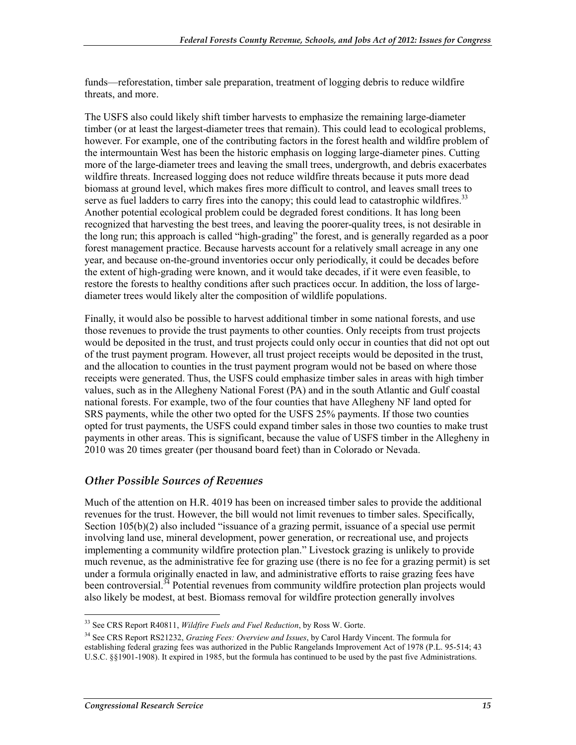funds—reforestation, timber sale preparation, treatment of logging debris to reduce wildfire threats, and more.

The USFS also could likely shift timber harvests to emphasize the remaining large-diameter timber (or at least the largest-diameter trees that remain). This could lead to ecological problems, however. For example, one of the contributing factors in the forest health and wildfire problem of the intermountain West has been the historic emphasis on logging large-diameter pines. Cutting more of the large-diameter trees and leaving the small trees, undergrowth, and debris exacerbates wildfire threats. Increased logging does not reduce wildfire threats because it puts more dead biomass at ground level, which makes fires more difficult to control, and leaves small trees to serve as fuel ladders to carry fires into the canopy; this could lead to catastrophic wildfires.<sup>33</sup> Another potential ecological problem could be degraded forest conditions. It has long been recognized that harvesting the best trees, and leaving the poorer-quality trees, is not desirable in the long run; this approach is called "high-grading" the forest, and is generally regarded as a poor forest management practice. Because harvests account for a relatively small acreage in any one year, and because on-the-ground inventories occur only periodically, it could be decades before the extent of high-grading were known, and it would take decades, if it were even feasible, to restore the forests to healthy conditions after such practices occur. In addition, the loss of largediameter trees would likely alter the composition of wildlife populations.

Finally, it would also be possible to harvest additional timber in some national forests, and use those revenues to provide the trust payments to other counties. Only receipts from trust projects would be deposited in the trust, and trust projects could only occur in counties that did not opt out of the trust payment program. However, all trust project receipts would be deposited in the trust, and the allocation to counties in the trust payment program would not be based on where those receipts were generated. Thus, the USFS could emphasize timber sales in areas with high timber values, such as in the Allegheny National Forest (PA) and in the south Atlantic and Gulf coastal national forests. For example, two of the four counties that have Allegheny NF land opted for SRS payments, while the other two opted for the USFS 25% payments. If those two counties opted for trust payments, the USFS could expand timber sales in those two counties to make trust payments in other areas. This is significant, because the value of USFS timber in the Allegheny in 2010 was 20 times greater (per thousand board feet) than in Colorado or Nevada.

#### *Other Possible Sources of Revenues*

Much of the attention on H.R. 4019 has been on increased timber sales to provide the additional revenues for the trust. However, the bill would not limit revenues to timber sales. Specifically, Section 105(b)(2) also included "issuance of a grazing permit, issuance of a special use permit involving land use, mineral development, power generation, or recreational use, and projects implementing a community wildfire protection plan." Livestock grazing is unlikely to provide much revenue, as the administrative fee for grazing use (there is no fee for a grazing permit) is set under a formula originally enacted in law, and administrative efforts to raise grazing fees have been controversial.<sup>34</sup> Potential revenues from community wildfire protection plan projects would also likely be modest, at best. Biomass removal for wildfire protection generally involves

<sup>33</sup> See CRS Report R40811, *Wildfire Fuels and Fuel Reduction*, by Ross W. Gorte.

<sup>34</sup> See CRS Report RS21232, *Grazing Fees: Overview and Issues*, by Carol Hardy Vincent. The formula for establishing federal grazing fees was authorized in the Public Rangelands Improvement Act of 1978 (P.L. 95-514; 43 U.S.C. §§1901-1908). It expired in 1985, but the formula has continued to be used by the past five Administrations.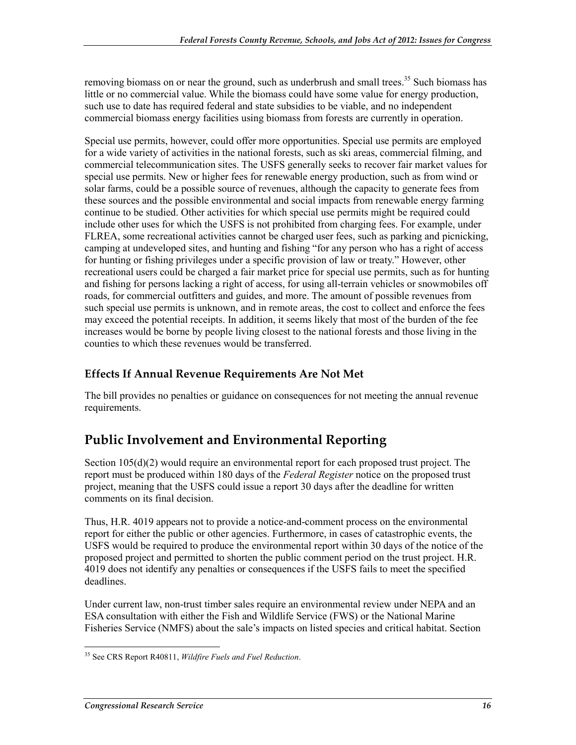removing biomass on or near the ground, such as underbrush and small trees.<sup>35</sup> Such biomass has little or no commercial value. While the biomass could have some value for energy production, such use to date has required federal and state subsidies to be viable, and no independent commercial biomass energy facilities using biomass from forests are currently in operation.

Special use permits, however, could offer more opportunities. Special use permits are employed for a wide variety of activities in the national forests, such as ski areas, commercial filming, and commercial telecommunication sites. The USFS generally seeks to recover fair market values for special use permits. New or higher fees for renewable energy production, such as from wind or solar farms, could be a possible source of revenues, although the capacity to generate fees from these sources and the possible environmental and social impacts from renewable energy farming continue to be studied. Other activities for which special use permits might be required could include other uses for which the USFS is not prohibited from charging fees. For example, under FLREA, some recreational activities cannot be charged user fees, such as parking and picnicking, camping at undeveloped sites, and hunting and fishing "for any person who has a right of access for hunting or fishing privileges under a specific provision of law or treaty." However, other recreational users could be charged a fair market price for special use permits, such as for hunting and fishing for persons lacking a right of access, for using all-terrain vehicles or snowmobiles off roads, for commercial outfitters and guides, and more. The amount of possible revenues from such special use permits is unknown, and in remote areas, the cost to collect and enforce the fees may exceed the potential receipts. In addition, it seems likely that most of the burden of the fee increases would be borne by people living closest to the national forests and those living in the counties to which these revenues would be transferred.

#### **Effects If Annual Revenue Requirements Are Not Met**

The bill provides no penalties or guidance on consequences for not meeting the annual revenue requirements.

## **Public Involvement and Environmental Reporting**

Section 105(d)(2) would require an environmental report for each proposed trust project. The report must be produced within 180 days of the *Federal Register* notice on the proposed trust project, meaning that the USFS could issue a report 30 days after the deadline for written comments on its final decision.

Thus, H.R. 4019 appears not to provide a notice-and-comment process on the environmental report for either the public or other agencies. Furthermore, in cases of catastrophic events, the USFS would be required to produce the environmental report within 30 days of the notice of the proposed project and permitted to shorten the public comment period on the trust project. H.R. 4019 does not identify any penalties or consequences if the USFS fails to meet the specified deadlines.

Under current law, non-trust timber sales require an environmental review under NEPA and an ESA consultation with either the Fish and Wildlife Service (FWS) or the National Marine Fisheries Service (NMFS) about the sale's impacts on listed species and critical habitat. Section

<sup>&</sup>lt;u>.</u> 35 See CRS Report R40811, *Wildfire Fuels and Fuel Reduction*.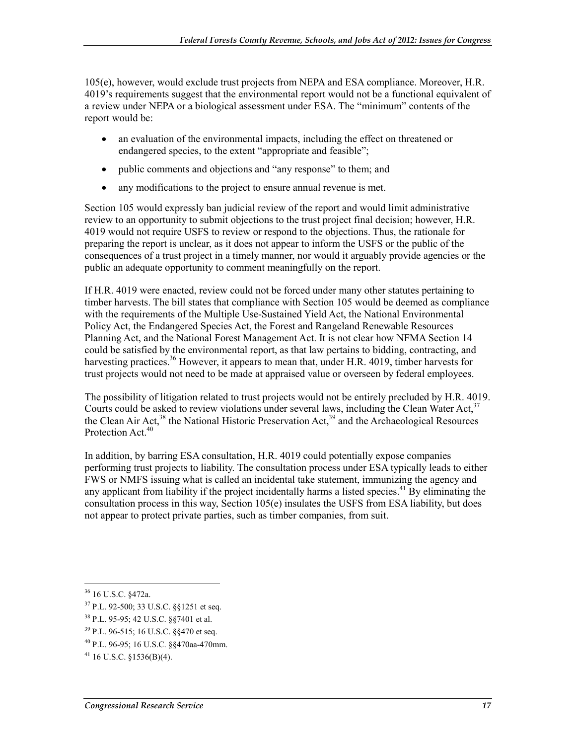105(e), however, would exclude trust projects from NEPA and ESA compliance. Moreover, H.R. 4019's requirements suggest that the environmental report would not be a functional equivalent of a review under NEPA or a biological assessment under ESA. The "minimum" contents of the report would be:

- an evaluation of the environmental impacts, including the effect on threatened or endangered species, to the extent "appropriate and feasible";
- public comments and objections and "any response" to them; and
- any modifications to the project to ensure annual revenue is met.

Section 105 would expressly ban judicial review of the report and would limit administrative review to an opportunity to submit objections to the trust project final decision; however, H.R. 4019 would not require USFS to review or respond to the objections. Thus, the rationale for preparing the report is unclear, as it does not appear to inform the USFS or the public of the consequences of a trust project in a timely manner, nor would it arguably provide agencies or the public an adequate opportunity to comment meaningfully on the report.

If H.R. 4019 were enacted, review could not be forced under many other statutes pertaining to timber harvests. The bill states that compliance with Section 105 would be deemed as compliance with the requirements of the Multiple Use-Sustained Yield Act, the National Environmental Policy Act, the Endangered Species Act, the Forest and Rangeland Renewable Resources Planning Act, and the National Forest Management Act. It is not clear how NFMA Section 14 could be satisfied by the environmental report, as that law pertains to bidding, contracting, and harvesting practices.<sup>36</sup> However, it appears to mean that, under H.R. 4019, timber harvests for trust projects would not need to be made at appraised value or overseen by federal employees.

The possibility of litigation related to trust projects would not be entirely precluded by H.R. 4019. Courts could be asked to review violations under several laws, including the Clean Water Act,  $3^7$ the Clean Air Act,  $38$  the National Historic Preservation Act,  $39$  and the Archaeological Resources Protection Act.<sup>40</sup>

In addition, by barring ESA consultation, H.R. 4019 could potentially expose companies performing trust projects to liability. The consultation process under ESA typically leads to either FWS or NMFS issuing what is called an incidental take statement, immunizing the agency and any applicant from liability if the project incidentally harms a listed species.<sup>41</sup> By eliminating the consultation process in this way, Section 105(e) insulates the USFS from ESA liability, but does not appear to protect private parties, such as timber companies, from suit.

- 37 P.L. 92-500; 33 U.S.C. §§1251 et seq.
- 38 P.L. 95-95; 42 U.S.C. §§7401 et al.
- 39 P.L. 96-515; 16 U.S.C. §§470 et seq.

<sup>1</sup> 36 16 U.S.C. §472a.

<sup>40</sup> P.L. 96-95; 16 U.S.C. §§470aa-470mm.

 $41$  16 U.S.C. §1536(B)(4).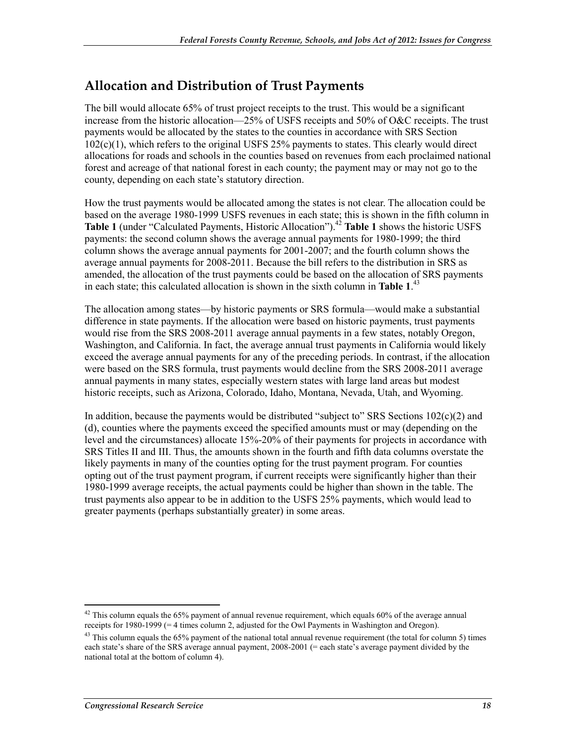### **Allocation and Distribution of Trust Payments**

The bill would allocate 65% of trust project receipts to the trust. This would be a significant increase from the historic allocation—25% of USFS receipts and 50% of O&C receipts. The trust payments would be allocated by the states to the counties in accordance with SRS Section 102(c)(1), which refers to the original USFS 25% payments to states. This clearly would direct allocations for roads and schools in the counties based on revenues from each proclaimed national forest and acreage of that national forest in each county; the payment may or may not go to the county, depending on each state's statutory direction.

How the trust payments would be allocated among the states is not clear. The allocation could be based on the average 1980-1999 USFS revenues in each state; this is shown in the fifth column in **Table 1** (under "Calculated Payments, Historic Allocation").<sup>42</sup> **Table 1** shows the historic USFS payments: the second column shows the average annual payments for 1980-1999; the third column shows the average annual payments for 2001-2007; and the fourth column shows the average annual payments for 2008-2011. Because the bill refers to the distribution in SRS as amended, the allocation of the trust payments could be based on the allocation of SRS payments in each state; this calculated allocation is shown in the sixth column in **Table 1**. 43

The allocation among states—by historic payments or SRS formula—would make a substantial difference in state payments. If the allocation were based on historic payments, trust payments would rise from the SRS 2008-2011 average annual payments in a few states, notably Oregon, Washington, and California. In fact, the average annual trust payments in California would likely exceed the average annual payments for any of the preceding periods. In contrast, if the allocation were based on the SRS formula, trust payments would decline from the SRS 2008-2011 average annual payments in many states, especially western states with large land areas but modest historic receipts, such as Arizona, Colorado, Idaho, Montana, Nevada, Utah, and Wyoming.

In addition, because the payments would be distributed "subject to" SRS Sections  $102(c)(2)$  and (d), counties where the payments exceed the specified amounts must or may (depending on the level and the circumstances) allocate 15%-20% of their payments for projects in accordance with SRS Titles II and III. Thus, the amounts shown in the fourth and fifth data columns overstate the likely payments in many of the counties opting for the trust payment program. For counties opting out of the trust payment program, if current receipts were significantly higher than their 1980-1999 average receipts, the actual payments could be higher than shown in the table. The trust payments also appear to be in addition to the USFS 25% payments, which would lead to greater payments (perhaps substantially greater) in some areas.

<sup>1</sup>  $42$  This column equals the 65% payment of annual revenue requirement, which equals 60% of the average annual receipts for 1980-1999 (= 4 times column 2, adjusted for the Owl Payments in Washington and Oregon).

<sup>&</sup>lt;sup>43</sup> This column equals the 65% payment of the national total annual revenue requirement (the total for column 5) times each state's share of the SRS average annual payment, 2008-2001 (= each state's average payment divided by the national total at the bottom of column 4).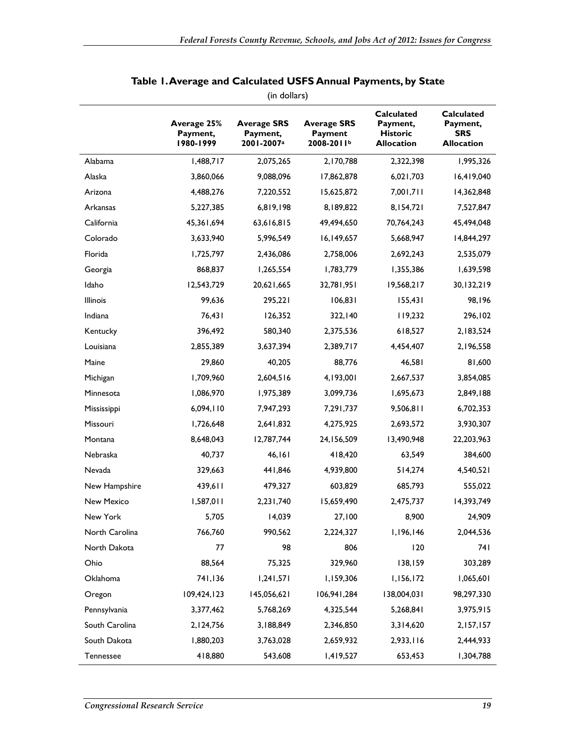| (in dollars)      |                                      |                                                          |                                             |                                                                       |                                                                  |
|-------------------|--------------------------------------|----------------------------------------------------------|---------------------------------------------|-----------------------------------------------------------------------|------------------------------------------------------------------|
|                   | Average 25%<br>Payment,<br>1980-1999 | <b>Average SRS</b><br>Payment,<br>2001-2007 <sup>a</sup> | <b>Average SRS</b><br>Payment<br>2008-2011b | <b>Calculated</b><br>Payment,<br><b>Historic</b><br><b>Allocation</b> | <b>Calculated</b><br>Payment,<br><b>SRS</b><br><b>Allocation</b> |
| Alabama           | 1,488,717                            | 2,075,265                                                | 2,170,788                                   | 2,322,398                                                             | 1,995,326                                                        |
| Alaska            | 3,860,066                            | 9,088,096                                                | 17,862,878                                  | 6,021,703                                                             | 16,419,040                                                       |
| Arizona           | 4,488,276                            | 7,220,552                                                | 15,625,872                                  | 7,001,711                                                             | 14,362,848                                                       |
| Arkansas          | 5,227,385                            | 6,819,198                                                | 8,189,822                                   | 8,154,721                                                             | 7,527,847                                                        |
| California        | 45,361,694                           | 63,616,815                                               | 49,494,650                                  | 70,764,243                                                            | 45,494,048                                                       |
| Colorado          | 3,633,940                            | 5,996,549                                                | 16,149,657                                  | 5,668,947                                                             | 14,844,297                                                       |
| Florida           | 1,725,797                            | 2,436,086                                                | 2,758,006                                   | 2,692,243                                                             | 2,535,079                                                        |
| Georgia           | 868,837                              | 1,265,554                                                | 1,783,779                                   | 1,355,386                                                             | 1,639,598                                                        |
| Idaho             | 12,543,729                           | 20,621,665                                               | 32,781,951                                  | 19,568,217                                                            | 30,132,219                                                       |
| <b>Illinois</b>   | 99,636                               | 295,221                                                  | 106,831                                     | 155,431                                                               | 98,196                                                           |
| Indiana           | 76,431                               | 126,352                                                  | 322,140                                     | 119,232                                                               | 296,102                                                          |
| Kentucky          | 396,492                              | 580,340                                                  | 2,375,536                                   | 618,527                                                               | 2,183,524                                                        |
| Louisiana         | 2,855,389                            | 3,637,394                                                | 2,389,717                                   | 4,454,407                                                             | 2,196,558                                                        |
| Maine             | 29,860                               | 40,205                                                   | 88,776                                      | 46,581                                                                | 81,600                                                           |
| Michigan          | 1,709,960                            | 2,604,516                                                | 4,193,001                                   | 2,667,537                                                             | 3,854,085                                                        |
| Minnesota         | 1,086,970                            | 1,975,389                                                | 3,099,736                                   | 1,695,673                                                             | 2,849,188                                                        |
| Mississippi       | 6,094,110                            | 7,947,293                                                | 7,291,737                                   | 9,506,811                                                             | 6,702,353                                                        |
| Missouri          | 1,726,648                            | 2,641,832                                                | 4,275,925                                   | 2,693,572                                                             | 3,930,307                                                        |
| Montana           | 8,648,043                            | 12,787,744                                               | 24, 156, 509                                | 13,490,948                                                            | 22,203,963                                                       |
| Nebraska          | 40,737                               | 46,161                                                   | 418,420                                     | 63,549                                                                | 384,600                                                          |
| Nevada            | 329,663                              | 441,846                                                  | 4,939,800                                   | 514,274                                                               | 4,540,521                                                        |
| New Hampshire     | 439,611                              | 479,327                                                  | 603,829                                     | 685,793                                                               | 555,022                                                          |
| <b>New Mexico</b> | 1,587,011                            | 2,231,740                                                | 15,659,490                                  | 2,475,737                                                             | 14,393,749                                                       |
| New York          | 5,705                                | 14,039                                                   | 27,100                                      | 8,900                                                                 | 24,909                                                           |
| North Carolina    | 766,760                              | 990,562                                                  | 2,224,327                                   | 1,196,146                                                             | 2,044,536                                                        |
| North Dakota      | 77                                   | 98                                                       | 806                                         | 120                                                                   | 74 I                                                             |
| Ohio              | 88,564                               | 75,325                                                   | 329,960                                     | 138,159                                                               | 303,289                                                          |
| Oklahoma          | 741,136                              | 1,241,571                                                | 1,159,306                                   | 1,156,172                                                             | 1,065,601                                                        |
| Oregon            | 109,424,123                          | 145,056,621                                              | 106,941,284                                 | 138,004,031                                                           | 98,297,330                                                       |
| Pennsylvania      | 3,377,462                            | 5,768,269                                                | 4,325,544                                   | 5,268,841                                                             | 3,975,915                                                        |
| South Carolina    | 2,124,756                            | 3,188,849                                                | 2,346,850                                   | 3,314,620                                                             | 2,157,157                                                        |
| South Dakota      | 1,880,203                            | 3,763,028                                                | 2,659,932                                   | 2,933,116                                                             | 2,444,933                                                        |
| Tennessee         | 418,880                              | 543,608                                                  | 1,419,527                                   | 653,453                                                               | 1,304,788                                                        |

#### **Table 1. Average and Calculated USFS Annual Payments, by State**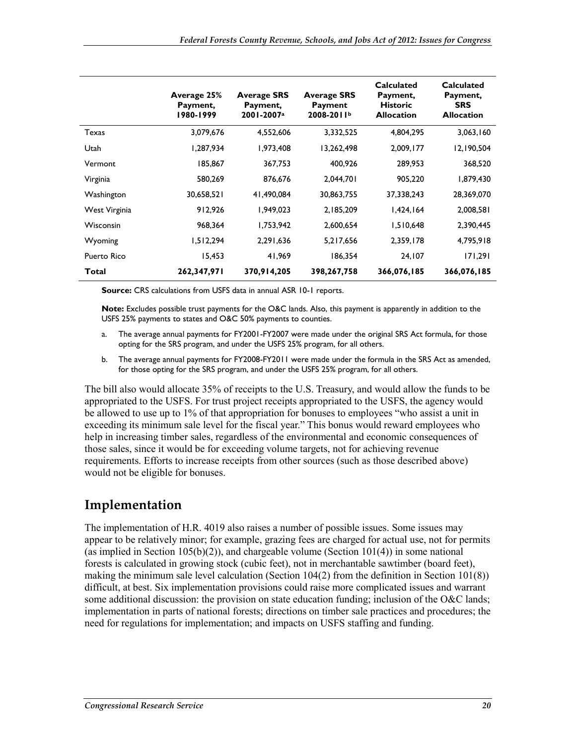|                    | Average 25%<br>Payment,<br>1980-1999 | <b>Average SRS</b><br>Payment,<br>2001-2007 <sup>a</sup> | <b>Average SRS</b><br>Payment<br>2008-2011b | <b>Calculated</b><br>Payment,<br><b>Historic</b><br><b>Allocation</b> | <b>Calculated</b><br>Payment,<br><b>SRS</b><br><b>Allocation</b> |
|--------------------|--------------------------------------|----------------------------------------------------------|---------------------------------------------|-----------------------------------------------------------------------|------------------------------------------------------------------|
| Texas              | 3,079,676                            | 4,552,606                                                | 3,332,525                                   | 4,804,295                                                             | 3,063,160                                                        |
| Utah               | 1,287,934                            | 1,973,408                                                | 13,262,498                                  | 2,009,177                                                             | 12,190,504                                                       |
| Vermont            | 185,867                              | 367,753                                                  | 400.926                                     | 289,953                                                               | 368,520                                                          |
| Virginia           | 580,269                              | 876.676                                                  | 2,044,701                                   | 905,220                                                               | 1,879,430                                                        |
| Washington         | 30,658,521                           | 41,490,084                                               | 30,863,755                                  | 37,338,243                                                            | 28,369,070                                                       |
| West Virginia      | 912,926                              | 1,949,023                                                | 2,185,209                                   | 1,424,164                                                             | 2,008,581                                                        |
| Wisconsin          | 968,364                              | 1,753,942                                                | 2,600,654                                   | 1,510,648                                                             | 2,390,445                                                        |
| Wyoming            | 1,512,294                            | 2,291,636                                                | 5,217,656                                   | 2,359,178                                                             | 4,795,918                                                        |
| <b>Puerto Rico</b> | 15,453                               | 41,969                                                   | 186,354                                     | 24,107                                                                | 171,291                                                          |
| Total              | 262,347,971                          | 370,914,205                                              | 398,267,758                                 | 366,076,185                                                           | 366,076,185                                                      |

**Source:** CRS calculations from USFS data in annual ASR 10-1 reports.

**Note:** Excludes possible trust payments for the O&C lands. Also, this payment is apparently in addition to the USFS 25% payments to states and O&C 50% payments to counties.

- a. The average annual payments for FY2001-FY2007 were made under the original SRS Act formula, for those opting for the SRS program, and under the USFS 25% program, for all others.
- b. The average annual payments for FY2008-FY2011 were made under the formula in the SRS Act as amended, for those opting for the SRS program, and under the USFS 25% program, for all others.

The bill also would allocate 35% of receipts to the U.S. Treasury, and would allow the funds to be appropriated to the USFS. For trust project receipts appropriated to the USFS, the agency would be allowed to use up to 1% of that appropriation for bonuses to employees "who assist a unit in exceeding its minimum sale level for the fiscal year." This bonus would reward employees who help in increasing timber sales, regardless of the environmental and economic consequences of those sales, since it would be for exceeding volume targets, not for achieving revenue requirements. Efforts to increase receipts from other sources (such as those described above) would not be eligible for bonuses.

#### **Implementation**

The implementation of H.R. 4019 also raises a number of possible issues. Some issues may appear to be relatively minor; for example, grazing fees are charged for actual use, not for permits (as implied in Section 105(b)(2)), and chargeable volume (Section 101(4)) in some national forests is calculated in growing stock (cubic feet), not in merchantable sawtimber (board feet), making the minimum sale level calculation (Section 104(2) from the definition in Section 101(8)) difficult, at best. Six implementation provisions could raise more complicated issues and warrant some additional discussion: the provision on state education funding; inclusion of the O&C lands; implementation in parts of national forests; directions on timber sale practices and procedures; the need for regulations for implementation; and impacts on USFS staffing and funding.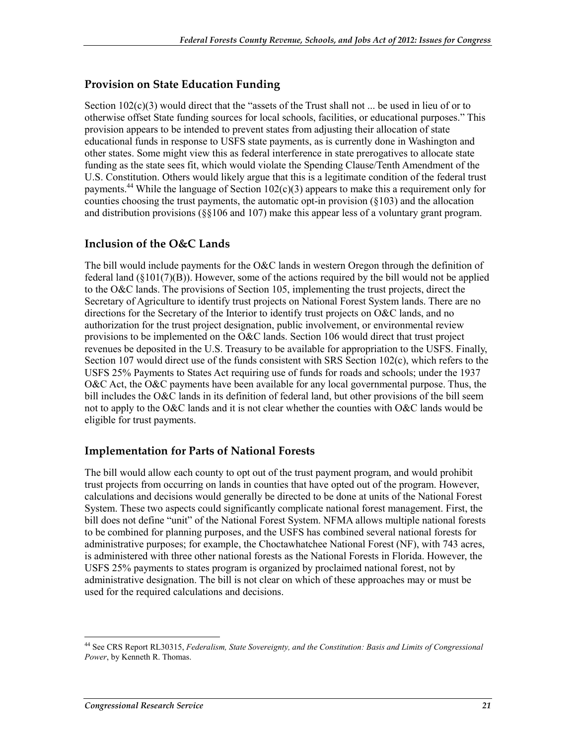#### **Provision on State Education Funding**

Section  $102(c)(3)$  would direct that the "assets of the Trust shall not ... be used in lieu of or to otherwise offset State funding sources for local schools, facilities, or educational purposes." This provision appears to be intended to prevent states from adjusting their allocation of state educational funds in response to USFS state payments, as is currently done in Washington and other states. Some might view this as federal interference in state prerogatives to allocate state funding as the state sees fit, which would violate the Spending Clause/Tenth Amendment of the U.S. Constitution. Others would likely argue that this is a legitimate condition of the federal trust payments.<sup>44</sup> While the language of Section 102(c)(3) appears to make this a requirement only for counties choosing the trust payments, the automatic opt-in provision  $(\S103)$  and the allocation and distribution provisions (§§106 and 107) make this appear less of a voluntary grant program.

#### **Inclusion of the O&C Lands**

The bill would include payments for the O&C lands in western Oregon through the definition of federal land  $(\S101(7)(B))$ . However, some of the actions required by the bill would not be applied to the O&C lands. The provisions of Section 105, implementing the trust projects, direct the Secretary of Agriculture to identify trust projects on National Forest System lands. There are no directions for the Secretary of the Interior to identify trust projects on O&C lands, and no authorization for the trust project designation, public involvement, or environmental review provisions to be implemented on the O&C lands. Section 106 would direct that trust project revenues be deposited in the U.S. Treasury to be available for appropriation to the USFS. Finally, Section 107 would direct use of the funds consistent with SRS Section 102(c), which refers to the USFS 25% Payments to States Act requiring use of funds for roads and schools; under the 1937 O&C Act, the O&C payments have been available for any local governmental purpose. Thus, the bill includes the O&C lands in its definition of federal land, but other provisions of the bill seem not to apply to the O&C lands and it is not clear whether the counties with O&C lands would be eligible for trust payments.

#### **Implementation for Parts of National Forests**

The bill would allow each county to opt out of the trust payment program, and would prohibit trust projects from occurring on lands in counties that have opted out of the program. However, calculations and decisions would generally be directed to be done at units of the National Forest System. These two aspects could significantly complicate national forest management. First, the bill does not define "unit" of the National Forest System. NFMA allows multiple national forests to be combined for planning purposes, and the USFS has combined several national forests for administrative purposes; for example, the Choctawhatchee National Forest (NF), with 743 acres, is administered with three other national forests as the National Forests in Florida. However, the USFS 25% payments to states program is organized by proclaimed national forest, not by administrative designation. The bill is not clear on which of these approaches may or must be used for the required calculations and decisions.

<sup>44</sup> See CRS Report RL30315, *Federalism, State Sovereignty, and the Constitution: Basis and Limits of Congressional Power*, by Kenneth R. Thomas.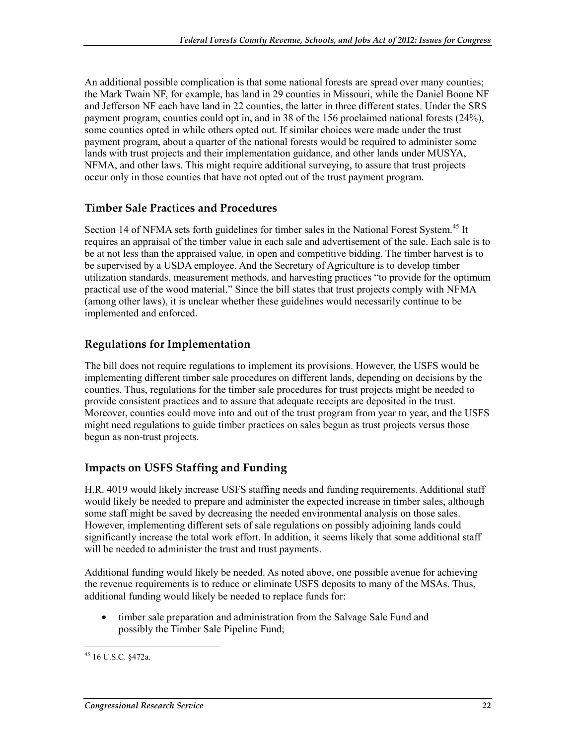An additional possible complication is that some national forests are spread over many counties; the Mark Twain NF, for example, has land in 29 counties in Missouri, while the Daniel Boone NF and Jefferson NF each have land in 22 counties, the latter in three different states. Under the SRS payment program, counties could opt in, and in 38 of the 156 proclaimed national forests (24%), some counties opted in while others opted out. If similar choices were made under the trust payment program, about a quarter of the national forests would be required to administer some lands with trust projects and their implementation guidance, and other lands under MUSYA, NFMA, and other laws. This might require additional surveying, to assure that trust projects occur only in those counties that have not opted out of the trust payment program.

#### **Timber Sale Practices and Procedures**

Section 14 of NFMA sets forth guidelines for timber sales in the National Forest System.<sup>45</sup> It requires an appraisal of the timber value in each sale and advertisement of the sale. Each sale is to be at not less than the appraised value, in open and competitive bidding. The timber harvest is to be supervised by a USDA employee. And the Secretary of Agriculture is to develop timber utilization standards, measurement methods, and harvesting practices "to provide for the optimum practical use of the wood material." Since the bill states that trust projects comply with NFMA (among other laws), it is unclear whether these guidelines would necessarily continue to be implemented and enforced.

#### **Regulations for Implementation**

The bill does not require regulations to implement its provisions. However, the USFS would be implementing different timber sale procedures on different lands, depending on decisions by the counties. Thus, regulations for the timber sale procedures for trust projects might be needed to provide consistent practices and to assure that adequate receipts are deposited in the trust. Moreover, counties could move into and out of the trust program from year to year, and the USFS might need regulations to guide timber practices on sales begun as trust projects versus those begun as non-trust projects.

#### **Impacts on USFS Staffing and Funding**

H.R. 4019 would likely increase USFS staffing needs and funding requirements. Additional staff would likely be needed to prepare and administer the expected increase in timber sales, although some staff might be saved by decreasing the needed environmental analysis on those sales. However, implementing different sets of sale regulations on possibly adjoining lands could significantly increase the total work effort. In addition, it seems likely that some additional staff will be needed to administer the trust and trust payments.

Additional funding would likely be needed. As noted above, one possible avenue for achieving the revenue requirements is to reduce or eliminate USFS deposits to many of the MSAs. Thus, additional funding would likely be needed to replace funds for:

• timber sale preparation and administration from the Salvage Sale Fund and possibly the Timber Sale Pipeline Fund;

<sup>&</sup>lt;u>.</u> 45 16 U.S.C. §472a.